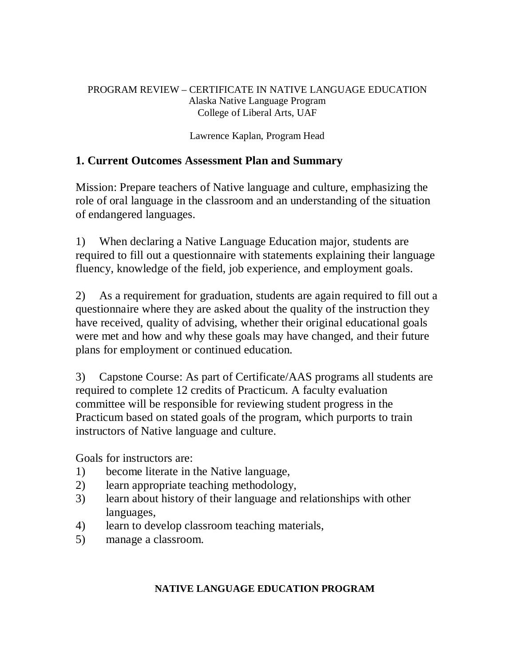### PROGRAM REVIEW – CERTIFICATE IN NATIVE LANGUAGE EDUCATION Alaska Native Language Program College of Liberal Arts, UAF

Lawrence Kaplan, Program Head

# **1. Current Outcomes Assessment Plan and Summary**

Mission: Prepare teachers of Native language and culture, emphasizing the role of oral language in the classroom and an understanding of the situation of endangered languages.

1) When declaring a Native Language Education major, students are required to fill out a questionnaire with statements explaining their language fluency, knowledge of the field, job experience, and employment goals.

2) As a requirement for graduation, students are again required to fill out a questionnaire where they are asked about the quality of the instruction they have received, quality of advising, whether their original educational goals were met and how and why these goals may have changed, and their future plans for employment or continued education.

3) Capstone Course: As part of Certificate/AAS programs all students are required to complete 12 credits of Practicum. A faculty evaluation committee will be responsible for reviewing student progress in the Practicum based on stated goals of the program, which purports to train instructors of Native language and culture.

Goals for instructors are:

- 1) become literate in the Native language,
- 2) learn appropriate teaching methodology,
- 3) learn about history of their language and relationships with other languages,
- 4) learn to develop classroom teaching materials,
- 5) manage a classroom.

## **NATIVE LANGUAGE EDUCATION PROGRAM**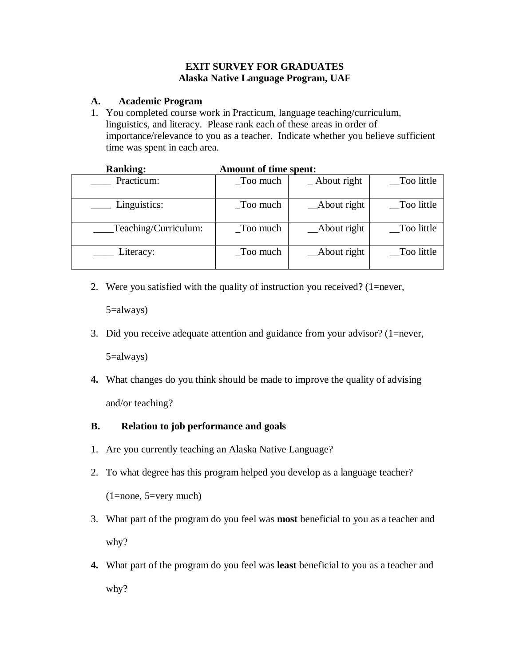### **EXIT SURVEY FOR GRADUATES Alaska Native Language Program, UAF**

#### **A. Academic Program**

1. You completed course work in Practicum, language teaching/curriculum, linguistics, and literacy. Please rank each of these areas in order of importance/relevance to you as a teacher. Indicate whether you believe sufficient time was spent in each area.

| <b>Ranking:</b>      | <b>Amount of time spent:</b> |                  |            |  |
|----------------------|------------------------------|------------------|------------|--|
| Practicum:           | Too much                     | $\_$ About right | Too little |  |
| Linguistics:         | Too much                     | _About right     | Too little |  |
| Teaching/Curriculum: | Too much                     | _About right     | Too little |  |
| Literacy:            | Too much                     | _About right     | Too little |  |

2. Were you satisfied with the quality of instruction you received? (1=never,

5=always)

3. Did you receive adequate attention and guidance from your advisor? (1=never,

5=always)

**4.** What changes do you think should be made to improve the quality of advising and/or teaching?

### **B. Relation to job performance and goals**

- 1. Are you currently teaching an Alaska Native Language?
- 2. To what degree has this program helped you develop as a language teacher? (1=none, 5=very much)
- 3. What part of the program do you feel was **most** beneficial to you as a teacher and why?
- **4.** What part of the program do you feel was **least** beneficial to you as a teacher and why?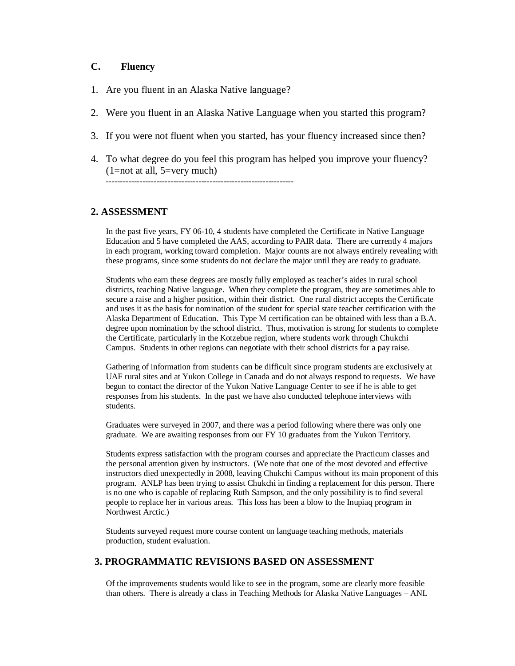#### **C. Fluency**

- 1. Are you fluent in an Alaska Native language?
- 2. Were you fluent in an Alaska Native Language when you started this program?
- 3. If you were not fluent when you started, has your fluency increased since then?
- 4. To what degree do you feel this program has helped you improve your fluency?  $(1=not at all, 5=very much)$

-------------------------------------------------------------------

#### **2. ASSESSMENT**

In the past five years, FY 06-10, 4 students have completed the Certificate in Native Language Education and 5 have completed the AAS, according to PAIR data. There are currently 4 majors in each program, working toward completion. Major counts are not always entirely revealing with these programs, since some students do not declare the major until they are ready to graduate.

Students who earn these degrees are mostly fully employed as teacher's aides in rural school districts, teaching Native language. When they complete the program, they are sometimes able to secure a raise and a higher position, within their district. One rural district accepts the Certificate and uses it as the basis for nomination of the student for special state teacher certification with the Alaska Department of Education. This Type M certification can be obtained with less than a B.A. degree upon nomination by the school district. Thus, motivation is strong for students to complete the Certificate, particularly in the Kotzebue region, where students work through Chukchi Campus. Students in other regions can negotiate with their school districts for a pay raise.

Gathering of information from students can be difficult since program students are exclusively at UAF rural sites and at Yukon College in Canada and do not always respond to requests. We have begun to contact the director of the Yukon Native Language Center to see if he is able to get responses from his students. In the past we have also conducted telephone interviews with students.

Graduates were surveyed in 2007, and there was a period following where there was only one graduate. We are awaiting responses from our FY 10 graduates from the Yukon Territory.

Students express satisfaction with the program courses and appreciate the Practicum classes and the personal attention given by instructors. (We note that one of the most devoted and effective instructors died unexpectedly in 2008, leaving Chukchi Campus without its main proponent of this program. ANLP has been trying to assist Chukchi in finding a replacement for this person. There is no one who is capable of replacing Ruth Sampson, and the only possibility is to find several people to replace her in various areas. This loss has been a blow to the Inupiaq program in Northwest Arctic.)

Students surveyed request more course content on language teaching methods, materials production, student evaluation.

#### **3. PROGRAMMATIC REVISIONS BASED ON ASSESSMENT**

Of the improvements students would like to see in the program, some are clearly more feasible than others. There is already a class in Teaching Methods for Alaska Native Languages – ANL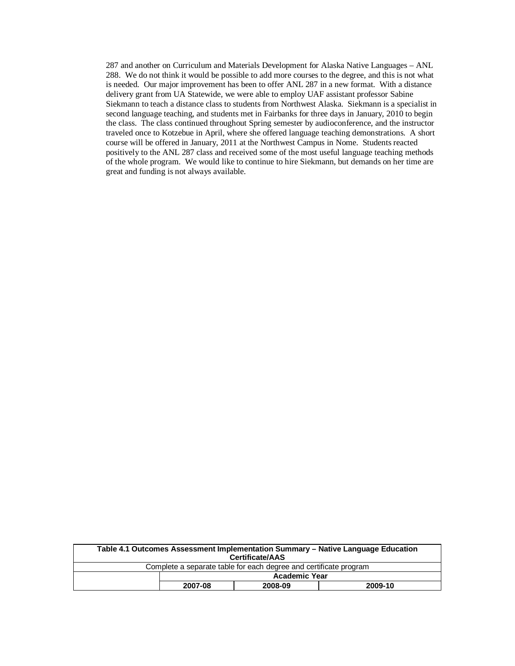287 and another on Curriculum and Materials Development for Alaska Native Languages – ANL 288. We do not think it would be possible to add more courses to the degree, and this is not what is needed. Our major improvement has been to offer ANL 287 in a new format. With a distance delivery grant from UA Statewide, we were able to employ UAF assistant professor Sabine Siekmann to teach a distance class to students from Northwest Alaska. Siekmann is a specialist in second language teaching, and students met in Fairbanks for three days in January, 2010 to begin the class. The class continued throughout Spring semester by audioconference, and the instructor traveled once to Kotzebue in April, where she offered language teaching demonstrations. A short course will be offered in January, 2011 at the Northwest Campus in Nome. Students reacted positively to the ANL 287 class and received some of the most useful language teaching methods of the whole program. We would like to continue to hire Siekmann, but demands on her time are great and funding is not always available.

| Table 4.1 Outcomes Assessment Implementation Summary – Native Language Education<br><b>Certificate/AAS</b> |                      |         |         |  |  |
|------------------------------------------------------------------------------------------------------------|----------------------|---------|---------|--|--|
| Complete a separate table for each degree and certificate program                                          |                      |         |         |  |  |
|                                                                                                            | <b>Academic Year</b> |         |         |  |  |
|                                                                                                            | 2007-08              | 2008-09 | 2009-10 |  |  |